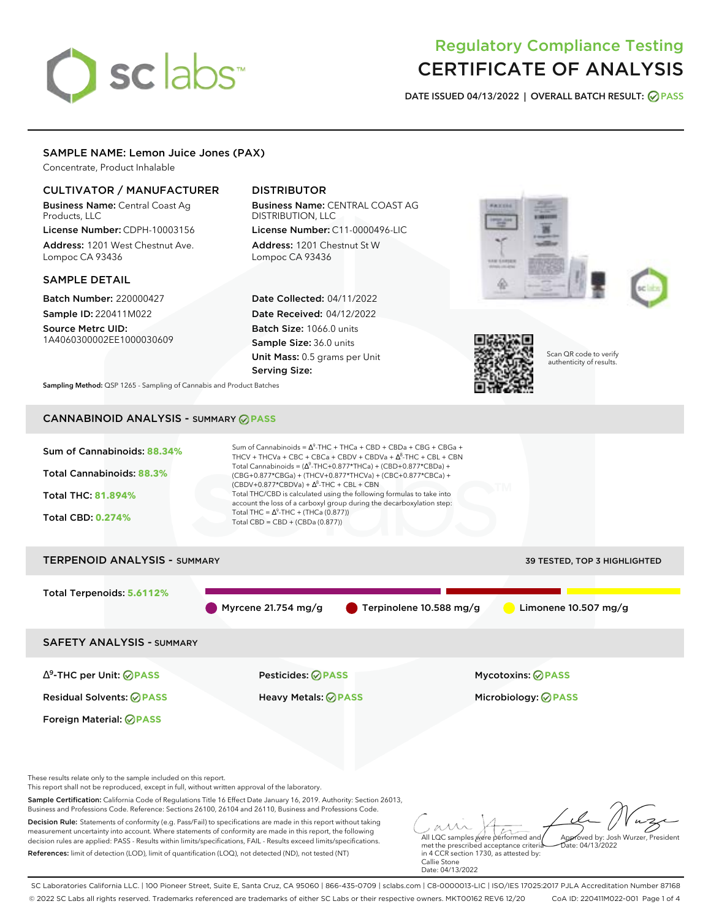# sclabs<sup>\*</sup>

# Regulatory Compliance Testing CERTIFICATE OF ANALYSIS

**DATE ISSUED 04/13/2022 | OVERALL BATCH RESULT: PASS**

# SAMPLE NAME: Lemon Juice Jones (PAX)

Concentrate, Product Inhalable

# CULTIVATOR / MANUFACTURER

Business Name: Central Coast Ag Products, LLC

License Number: CDPH-10003156 Address: 1201 West Chestnut Ave. Lompoc CA 93436

# SAMPLE DETAIL

Batch Number: 220000427 Sample ID: 220411M022

Source Metrc UID: 1A4060300002EE1000030609

# DISTRIBUTOR

Business Name: CENTRAL COAST AG DISTRIBUTION, LLC License Number: C11-0000496-LIC

Address: 1201 Chestnut St W Lompoc CA 93436

Date Collected: 04/11/2022 Date Received: 04/12/2022 Batch Size: 1066.0 units Sample Size: 36.0 units Unit Mass: 0.5 grams per Unit Serving Size:







Scan QR code to verify authenticity of results.

**Sampling Method:** QSP 1265 - Sampling of Cannabis and Product Batches

# CANNABINOID ANALYSIS - SUMMARY **PASS**



measurement uncertainty into account. Where statements of conformity are made in this report, the following decision rules are applied: PASS - Results within limits/specifications, FAIL - Results exceed limits/specifications. References: limit of detection (LOD), limit of quantification (LOQ), not detected (ND), not tested (NT)

All LQC samples were performed and met the prescribed acceptance criteria in 4 CCR section 1730, as attested by: Callie Stone Date: 04/13/2022 Approved by: Josh Wurzer, President  $hat: 04/13/2022$ 

SC Laboratories California LLC. | 100 Pioneer Street, Suite E, Santa Cruz, CA 95060 | 866-435-0709 | sclabs.com | C8-0000013-LIC | ISO/IES 17025:2017 PJLA Accreditation Number 87168 © 2022 SC Labs all rights reserved. Trademarks referenced are trademarks of either SC Labs or their respective owners. MKT00162 REV6 12/20 CoA ID: 220411M022-001 Page 1 of 4